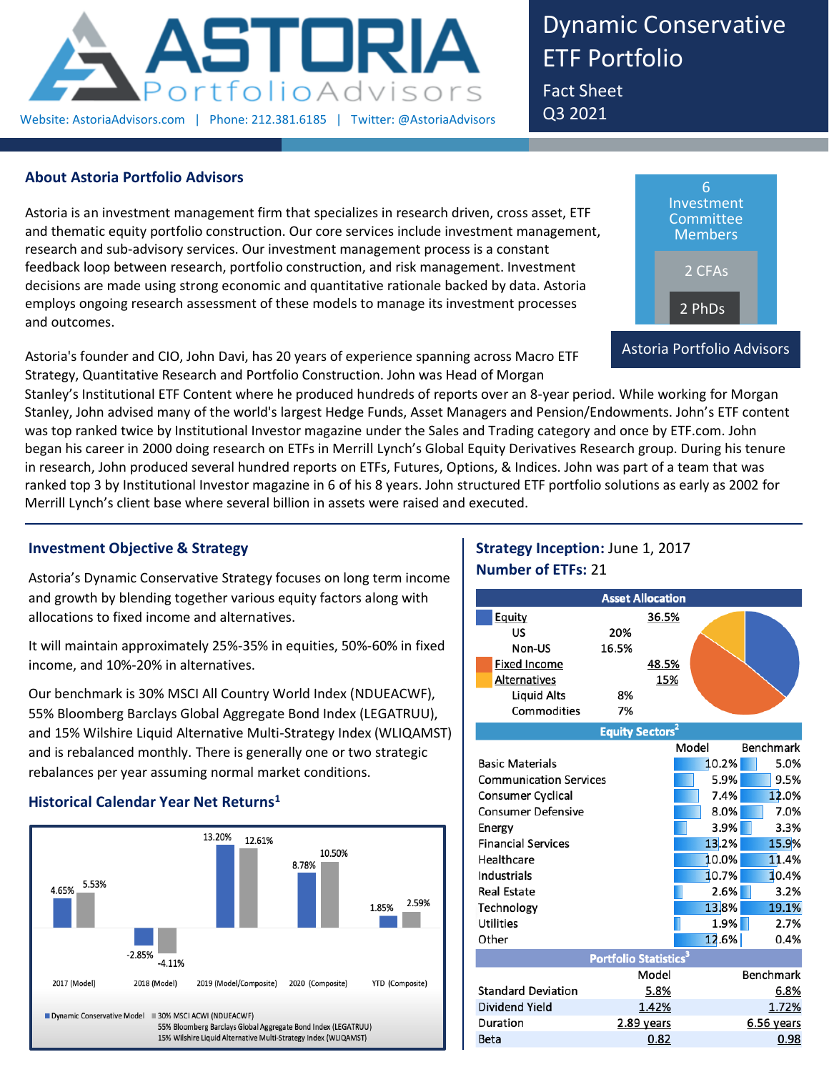

Dynamic Conservative ETF Portfolio

Fact Sheet Q3 2021

# **About Astoria Portfolio Advisors**

Astoria is an investment management firm that specializes in research driven, cross asset, ETF and thematic equity portfolio construction. Our core services include investment management, research and sub-advisory services. Our investment management process is a constant feedback loop between research, portfolio construction, and risk management. Investment decisions are made using strong economic and quantitative rationale backed by data. Astoria employs ongoing research assessment of these models to manage its investment processes and outcomes.

Astoria's founder and CIO, John Davi, has 20 years of experience spanning across Macro ETF Strategy, Quantitative Research and Portfolio Construction. John was Head of Morgan



Stanley's Institutional ETF Content where he produced hundreds of reports over an 8-year period. While working for Morgan Stanley, John advised many of the world's largest Hedge Funds, Asset Managers and Pension/Endowments. John's ETF content was top ranked twice by Institutional Investor magazine under the Sales and Trading category and once by ETF.com. John began his career in 2000 doing research on ETFs in Merrill Lynch's Global Equity Derivatives Research group. During his tenure in research, John produced several hundred reports on ETFs, Futures, Options, & Indices. John was part of a team that was ranked top 3 by Institutional Investor magazine in 6 of his 8 years. John structured ETF portfolio solutions as early as 2002 for Merrill Lynch's client base where several billion in assets were raised and executed.

# **Investment Objective & Strategy**

Astoria's Dynamic Conservative Strategy focuses on long term income and growth by blending together various equity factors along with allocations to fixed income and alternatives.

It will maintain approximately 25%-35% in equities, 50%-60% in fixed income, and 10%-20% in alternatives.

Our benchmark is 30% MSCI All Country World Index (NDUEACWF), 55% Bloomberg Barclays Global Aggregate Bond Index (LEGATRUU), and 15% Wilshire Liquid Alternative Multi-Strategy Index (WLIQAMST) and is rebalanced monthly. There is generally one or two strategic rebalances per year assuming normal market conditions.

## **Historical Calendar Year Net Returns<sup>1</sup>**



# **Strategy Inception:** June 1, 2017 **Number of ETFs:** 21

| <b>Asset Allocation</b>       |                     |       |                                   |       |                  |  |  |  |  |
|-------------------------------|---------------------|-------|-----------------------------------|-------|------------------|--|--|--|--|
|                               | Equity              |       | 36.5%                             |       |                  |  |  |  |  |
|                               | US                  | 20%   |                                   |       |                  |  |  |  |  |
|                               | Non-US              | 16.5% |                                   |       |                  |  |  |  |  |
|                               | <b>Fixed Income</b> |       | 48.5%                             |       |                  |  |  |  |  |
|                               | Alternatives        |       | 15%                               |       |                  |  |  |  |  |
|                               | Liquid Alts         | 8%    |                                   |       |                  |  |  |  |  |
|                               | Commodities         | 7%    |                                   |       |                  |  |  |  |  |
|                               |                     |       | <b>Equity Sectors<sup>2</sup></b> |       |                  |  |  |  |  |
|                               |                     |       |                                   | Model | <b>Benchmark</b> |  |  |  |  |
| <b>Basic Materials</b>        |                     |       |                                   | 10.2% | 5.0%             |  |  |  |  |
| <b>Communication Services</b> |                     |       |                                   | 5.9%  | 9.5%             |  |  |  |  |
| Consumer Cyclical             |                     |       |                                   | 7.4%  | 12.0%            |  |  |  |  |
| <b>Consumer Defensive</b>     |                     |       |                                   | 8.0%  | 7.0%             |  |  |  |  |
|                               | Energy              |       | 3.9%                              | 3.3%  |                  |  |  |  |  |

| Energy                    |                                          | 3.9%             | 3.3%         |  |
|---------------------------|------------------------------------------|------------------|--------------|--|
| <b>Financial Services</b> |                                          | 13.2%            | 15.9%        |  |
| Healthcare                |                                          | 10.0%            | 11.4%        |  |
| Industrials               |                                          | 10.7%            | 10.4%        |  |
| <b>Real Estate</b>        |                                          | 2.6%             | 3.2%         |  |
| Technology                |                                          | 13.8%            | 19.1%        |  |
| <b>Utilities</b>          |                                          | 1.9%             | 2.7%         |  |
| Other                     |                                          | 12.6%            | 0.4%         |  |
|                           | <b>Portfolio Statistics</b> <sup>3</sup> |                  |              |  |
| Model                     |                                          | <b>Benchmark</b> |              |  |
| <b>Standard Deviation</b> | 5.8%                                     |                  | 6.8%         |  |
| Dividend Yield            | 1.42%                                    |                  | 1.72%        |  |
| Duration                  | 2.89 years                               |                  | $6.56$ years |  |
| <b>Beta</b>               | 0.82                                     |                  | 0.98         |  |
|                           |                                          |                  |              |  |